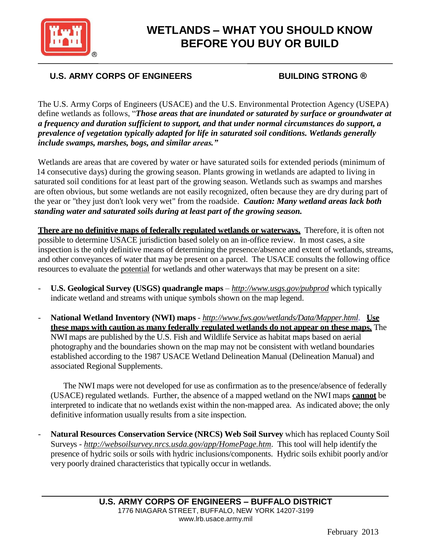

# **WETLANDS – WHAT YOU SHOULD KNOW BEFORE YOU BUY OR BUILD**

# **U.S. ARMY CORPS OF ENGINEERS BUILDING STRONG** ®

The U.S. Army Corps of Engineers (USACE) and the U.S. Environmental Protection Agency (USEPA) define wetlands as follows, "*Those areas that are inundated or saturated by surface or groundwater at a frequency and duration sufficient to support, and that under normal circumstances do support, a prevalence of vegetation typically adapted for life in saturated soil conditions. Wetlands generally include swamps, marshes, bogs, and similar areas."*

Wetlands are areas that are covered by water or have saturated soils for extended periods (minimum of 14 consecutive days) during the growing season. Plants growing in wetlands are adapted to living in saturated soil conditions for at least part of the growing season. Wetlands such as swamps and marshes are often obvious, but some wetlands are not easily recognized, often because they are dry during part of the year or "they just don't look very wet" from the roadside. *Caution: Many wetland areas lack both standing water and saturated soils during at least part of the growing season.*

**There are no definitive maps of federally regulated wetlands or waterways.** Therefore, it is often not possible to determine USACE jurisdiction based solely on an in-office review. In most cases, a site inspection is the only definitive means of determining the presence/absence and extent of wetlands, streams, and other conveyances of water that may be present on a parcel. The USACE consults the following office resources to evaluate the potential for wetlands and other waterways that may be present on a site:

- **U.S. Geological Survey (USGS) quadrangle maps** *<http://www.usgs.gov/pubprod>* which typically indicate wetland and streams with unique symbols shown on the map legend.
- **National Wetland Inventory (NWI) maps** *<http://www.fws.gov/wetlands/Data/Mapper.html>*. **Use these maps with caution as many federally regulated wetlands do not appear on these maps.** The NWI maps are published by the U.S. Fish and Wildlife Service as habitat maps based on aerial photography and the boundaries shown on the map may not be consistent with wetland boundaries established according to the 1987 USACE Wetland Delineation Manual (Delineation Manual) and associated Regional Supplements.

The NWI maps were not developed for use as confirmation as to the presence/absence of federally (USACE) regulated wetlands. Further, the absence of a mapped wetland on the NWI maps **cannot** be interpreted to indicate that no wetlands exist within the non-mapped area. As indicated above; the only definitive information usually results from a site inspection.

- **Natural Resources Conservation Service (NRCS) Web Soil Survey** which has replaced County Soil Surveys - *<http://websoilsurvey.nrcs.usda.gov/app/HomePage.htm>*. This tool will help identify the presence of hydric soils or soils with hydric inclusions/components. Hydric soils exhibit poorly and/or very poorly drained characteristics that typically occur in wetlands.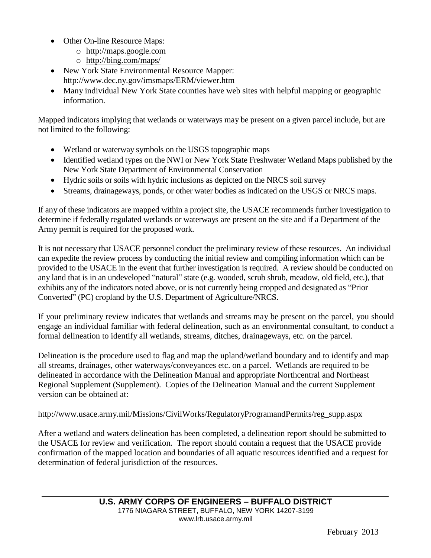- Other On-line Resource Maps:
	- o [http://maps.google.com](http://maps.google.com/)
	- o <http://bing.com/maps/>
- New York State Environmental Resource Mapper: <http://www.dec.ny.gov/imsmaps/ERM/viewer.htm>
- Many individual New York State counties have web sites with helpful mapping or geographic information.

Mapped indicators implying that wetlands or waterways may be present on a given parcel include, but are not limited to the following:

- Wetland or waterway symbols on the USGS topographic maps
- Identified wetland types on the NWI or New York State Freshwater Wetland Maps published by the New York State Department of Environmental Conservation
- Hydric soils or soils with hydric inclusions as depicted on the NRCS soil survey
- Streams, drainageways, ponds, or other water bodies as indicated on the USGS or NRCS maps.

If any of these indicators are mapped within a project site, the USACE recommends further investigation to determine if federally regulated wetlands or waterways are present on the site and if a Department of the Army permit is required for the proposed work.

It is not necessary that USACE personnel conduct the preliminary review of these resources. An individual can expedite the review process by conducting the initial review and compiling information which can be provided to the USACE in the event that further investigation is required. A review should be conducted on any land that is in an undeveloped "natural" state (e.g. wooded, scrub shrub, meadow, old field, etc.), that exhibits any of the indicators noted above, or is not currently being cropped and designated as "Prior Converted" (PC) cropland by the U.S. Department of Agriculture/NRCS.

If your preliminary review indicates that wetlands and streams may be present on the parcel, you should engage an individual familiar with federal delineation, such as an environmental consultant, to conduct a formal delineation to identify all wetlands, streams, ditches, drainageways, etc. on the parcel.

Delineation is the procedure used to flag and map the upland/wetland boundary and to identify and map all streams, drainages, other waterways/conveyances etc. on a parcel. Wetlands are required to be delineated in accordance with the Delineation Manual and appropriate Northcentral and Northeast Regional Supplement (Supplement). Copies of the Delineation Manual and the current Supplement version can be obtained at:

## [http://www.usace.army.mil/Missions/CivilWorks/RegulatoryProgramandPermits/reg\\_supp.aspx](http://www.usace.army.mil/Missions/CivilWorks/RegulatoryProgramandPermits/reg_supp.aspx)

After a wetland and waters delineation has been completed, a delineation report should be submitted to the USACE for review and verification. The report should contain a request that the USACE provide confirmation of the mapped location and boundaries of all aquatic resources identified and a request for determination of federal jurisdiction of the resources.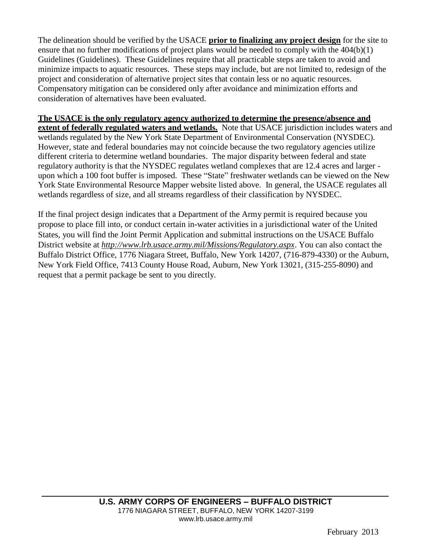The delineation should be verified by the USACE **prior to finalizing any project design** for the site to ensure that no further modifications of project plans would be needed to comply with the 404(b)(1) Guidelines (Guidelines). These Guidelines require that all practicable steps are taken to avoid and minimize impacts to aquatic resources. These steps may include, but are not limited to, redesign of the project and consideration of alternative project sites that contain less or no aquatic resources. Compensatory mitigation can be considered only after avoidance and minimization efforts and consideration of alternatives have been evaluated.

### **The USACE is the only regulatory agency authorized to determine the presence/absence and**

**extent of federally regulated waters and wetlands.** Note that USACE jurisdiction includes waters and wetlands regulated by the New York State Department of Environmental Conservation (NYSDEC). However, state and federal boundaries may not coincide because the two regulatory agencies utilize different criteria to determine wetland boundaries. The major disparity between federal and state regulatory authority is that the NYSDEC regulates wetland complexes that are 12.4 acres and larger upon which a 100 foot buffer is imposed. These "State" freshwater wetlands can be viewed on the New York State Environmental Resource Mapper website listed above. In general, the USACE regulates all wetlands regardless of size, and all streams regardless of their classification by NYSDEC.

If the final project design indicates that a Department of the Army permit is required because you propose to place fill into, or conduct certain in-water activities in a jurisdictional water of the United States, you will find the Joint Permit Application and submittal instructions on the USACE Buffalo District website at *<http://www.lrb.usace.army.mil/Missions/Regulatory.aspx>*. You can also contact the Buffalo District Office, 1776 Niagara Street, Buffalo, New York 14207, (716-879-4330) or the Auburn, New York Field Office, 7413 County House Road, Auburn, New York 13021, (315-255-8090) and request that a permit package be sent to you directly.